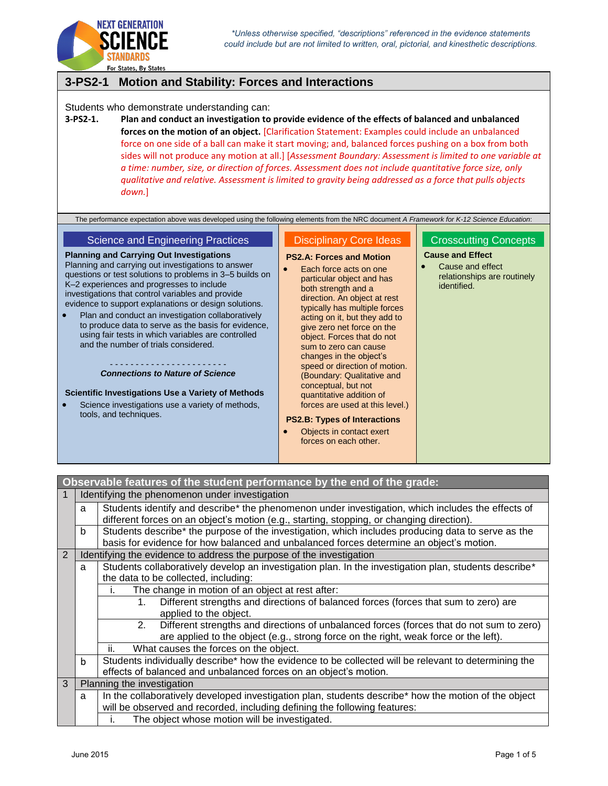



For States, By States

# **3-PS2-1 Motion and Stability: Forces and Interactions**

Students who demonstrate understanding can:

**3-PS2-1. Plan and conduct an investigation to provide evidence of the effects of balanced and unbalanced forces on the motion of an object.** [Clarification Statement: Examples could include an unbalanced force on one side of a ball can make it start moving; and, balanced forces pushing on a box from both sides will not produce any motion at all.] [*Assessment Boundary: Assessment is limited to one variable at a time: number, size, or direction of forces. Assessment does not include quantitative force size, only qualitative and relative. Assessment is limited to gravity being addressed as a force that pulls objects down.*]

The performance expectation above was developed using the following elements from the NRC document *A Framework for K-12 Science Education*:

### Science and Engineering Practices

**Planning and Carrying Out Investigations**

Planning and carrying out investigations to answer questions or test solutions to problems in 3–5 builds on K–2 experiences and progresses to include investigations that control variables and provide evidence to support explanations or design solutions.

 Plan and conduct an investigation collaboratively to produce data to serve as the basis for evidence, using fair tests in which variables are controlled and the number of trials considered.

> - - - - - - - - - - - - - - - - - - - - - - - *Connections to Nature of Science*

**Scientific Investigations Use a Variety of Methods**

 Science investigations use a variety of methods, tools, and techniques.

### Disciplinary Core Ideas

[both strength and a](http://www.nap.edu/openbook.php?record_id=13165&page=114)  [direction. An object at rest](http://www.nap.edu/openbook.php?record_id=13165&page=114)  [typically has multiple forces](http://www.nap.edu/openbook.php?record_id=13165&page=114)  [acting on it, but they add to](http://www.nap.edu/openbook.php?record_id=13165&page=114)  [give zero net force on the](http://www.nap.edu/openbook.php?record_id=13165&page=114)  [object. Forces that do not](http://www.nap.edu/openbook.php?record_id=13165&page=114)  [sum to zero can cause](http://www.nap.edu/openbook.php?record_id=13165&page=114)  [changes in the object's](http://www.nap.edu/openbook.php?record_id=13165&page=114)  [speed or direction of motion.](http://www.nap.edu/openbook.php?record_id=13165&page=114)  [\(Boundary: Qualitative and](http://www.nap.edu/openbook.php?record_id=13165&page=114)  [conceptual, but not](http://www.nap.edu/openbook.php?record_id=13165&page=114)  [quantitative addition of](http://www.nap.edu/openbook.php?record_id=13165&page=114)  [forces are used at this level.\)](http://www.nap.edu/openbook.php?record_id=13165&page=114) **PS2.B: Types of Interactions** [Objects in contact exert](http://www.nap.edu/openbook.php?record_id=13165&page=116)  [forces on each other.](http://www.nap.edu/openbook.php?record_id=13165&page=116)

**[PS2.A: Forces and Motion](http://www.nap.edu/openbook.php?record_id=13165&page=114)** [Each force acts on one](http://www.nap.edu/openbook.php?record_id=13165&page=114)  [particular object and has](http://www.nap.edu/openbook.php?record_id=13165&page=114) 

## **Cause and Effect**

 Cause and effect relationships are routinely identified.

Crosscutting Concepts

**Observable features of the student performance by the end of the grade:** 1 Identifying the phenomenon under investigation  $a \mid$  Students identify and describe\* the phenomenon under investigation, which includes the effects of different forces on an object's motion (e.g., starting, stopping, or changing direction).  $\mathsf{b}$  Students describe\* the purpose of the investigation, which includes producing data to serve as the basis for evidence for how balanced and unbalanced forces determine an object's motion. 2 Identifying the evidence to address the purpose of the investigation  $a \mid$  Students collaboratively develop an investigation plan. In the investigation plan, students describe<sup>\*</sup> the data to be collected, including: i. The change in motion of an object at rest after: 1. Different strengths and directions of balanced forces (forces that sum to zero) are applied to the object. 2. Different strengths and directions of unbalanced forces (forces that do not sum to zero) are applied to the object (e.g., strong force on the right, weak force or the left). ii. What causes the forces on the object.  $b \mid$  Students individually describe<sup>\*</sup> how the evidence to be collected will be relevant to determining the effects of balanced and unbalanced forces on an object's motion. 3 Planning the investigation  $a \mid$  In the collaboratively developed investigation plan, students describe\* how the motion of the object will be observed and recorded, including defining the following features: i. The object whose motion will be investigated.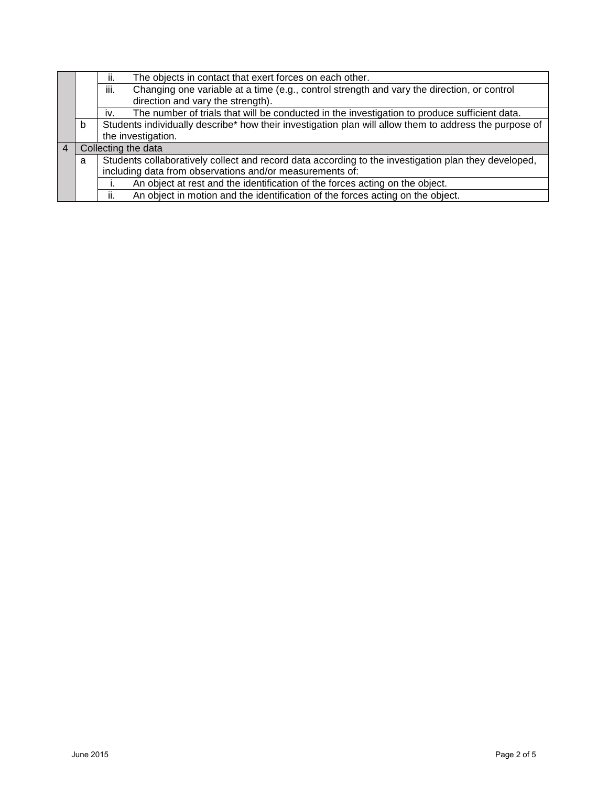|   |                                                                                                     | The objects in contact that exert forces on each other.<br>ii.                                         |  |  |  |  |  |
|---|-----------------------------------------------------------------------------------------------------|--------------------------------------------------------------------------------------------------------|--|--|--|--|--|
|   |                                                                                                     | Changing one variable at a time (e.g., control strength and vary the direction, or control<br>iii.     |  |  |  |  |  |
|   |                                                                                                     | direction and vary the strength).                                                                      |  |  |  |  |  |
|   | The number of trials that will be conducted in the investigation to produce sufficient data.<br>İV. |                                                                                                        |  |  |  |  |  |
|   | b                                                                                                   | Students individually describe* how their investigation plan will allow them to address the purpose of |  |  |  |  |  |
|   |                                                                                                     | the investigation.                                                                                     |  |  |  |  |  |
| 4 |                                                                                                     | Collecting the data                                                                                    |  |  |  |  |  |
|   | a                                                                                                   | Students collaboratively collect and record data according to the investigation plan they developed,   |  |  |  |  |  |
|   |                                                                                                     | including data from observations and/or measurements of:                                               |  |  |  |  |  |
|   |                                                                                                     | An object at rest and the identification of the forces acting on the object.                           |  |  |  |  |  |
|   |                                                                                                     | An object in motion and the identification of the forces acting on the object.<br>ii.                  |  |  |  |  |  |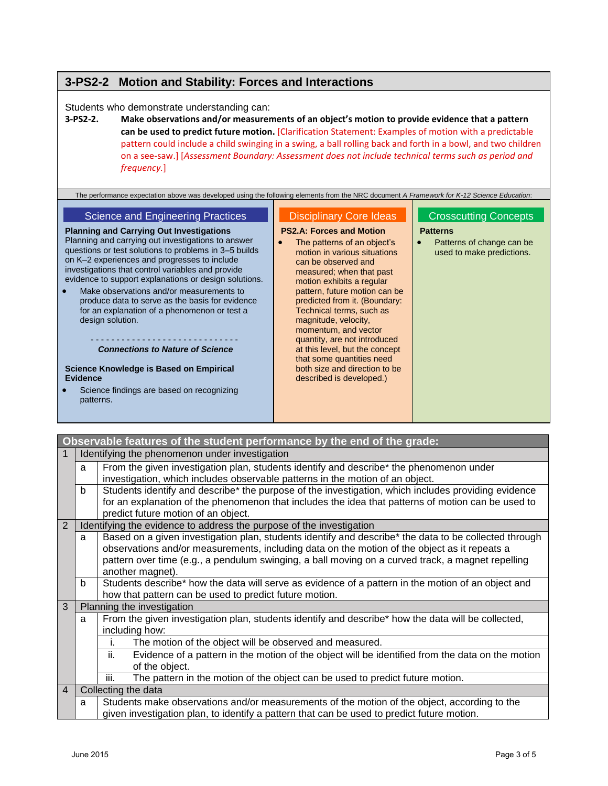# **3-PS2-2 Motion and Stability: Forces and Interactions**

### Students who demonstrate understanding can:

**3-PS2-2. Make observations and/or measurements of an object's motion to provide evidence that a pattern can be used to predict future motion.** [Clarification Statement: Examples of motion with a predictable pattern could include a child swinging in a swing, a ball rolling back and forth in a bowl, and two children on a see-saw.] [*Assessment Boundary: Assessment does not include technical terms such as period and frequency.*]

| The performance expectation above was developed using the following elements from the NRC document A Framework for K-12 Science Education: |                                                             |                                                        |  |  |
|--------------------------------------------------------------------------------------------------------------------------------------------|-------------------------------------------------------------|--------------------------------------------------------|--|--|
|                                                                                                                                            |                                                             |                                                        |  |  |
| Science and Engineering Practices                                                                                                          | <b>Disciplinary Core Ideas</b>                              | <b>Crosscutting Concepts</b>                           |  |  |
| <b>Planning and Carrying Out Investigations</b>                                                                                            | <b>PS2.A: Forces and Motion</b>                             | <b>Patterns</b>                                        |  |  |
| Planning and carrying out investigations to answer<br>questions or test solutions to problems in 3-5 builds                                | The patterns of an object's<br>motion in various situations | Patterns of change can be<br>used to make predictions. |  |  |

on K–2 experiences and progresses to include investigations that control variables and provide evidence to support explanations or design solutions.

 Make observations and/or measurements to produce data to serve as the basis for evidence for an explanation of a phenomenon or test a design solution.

#### - - - - - - - - - - - - - - - - - - - - - - - - - - - - - *Connections to Nature of Science*

**Science Knowledge is Based on Empirical Evidence**

 Science findings are based on recognizing patterns.

### motion in various situations can be observed and measured; when that past motion exhibits a regular pattern, future motion can be predicted from it. (Boundary: Technical terms, such as magnitude, velocity, momentum, and vector quantity, are not introduced at this level, but the concept that some quantities need both size and direction to be described is developed.)

used to make predictions.

**Observable features of the student performance by the end of the grade:** 1 | Identifying the phenomenon under investigation a From the given investigation plan, students identify and describe\* the phenomenon under investigation, which includes observable patterns in the motion of an object. b Students identify and describe\* the purpose of the investigation, which includes providing evidence for an explanation of the phenomenon that includes the idea that patterns of motion can be used to predict future motion of an object. 2 Identifying the evidence to address the purpose of the investigation a | Based on a given investigation plan, students identify and describe\* the data to be collected through observations and/or measurements, including data on the motion of the object as it repeats a pattern over time (e.g., a pendulum swinging, a ball moving on a curved track, a magnet repelling another magnet). b Students describe\* how the data will serve as evidence of a pattern in the motion of an object and how that pattern can be used to predict future motion. 3 | Planning the investigation  $a \mid$  From the given investigation plan, students identify and describe\* how the data will be collected, including how: i. The motion of the object will be observed and measured. ii. Evidence of a pattern in the motion of the object will be identified from the data on the motion of the object. iii. The pattern in the motion of the object can be used to predict future motion. 4 | Collecting the data a Students make observations and/or measurements of the motion of the object, according to the given investigation plan, to identify a pattern that can be used to predict future motion.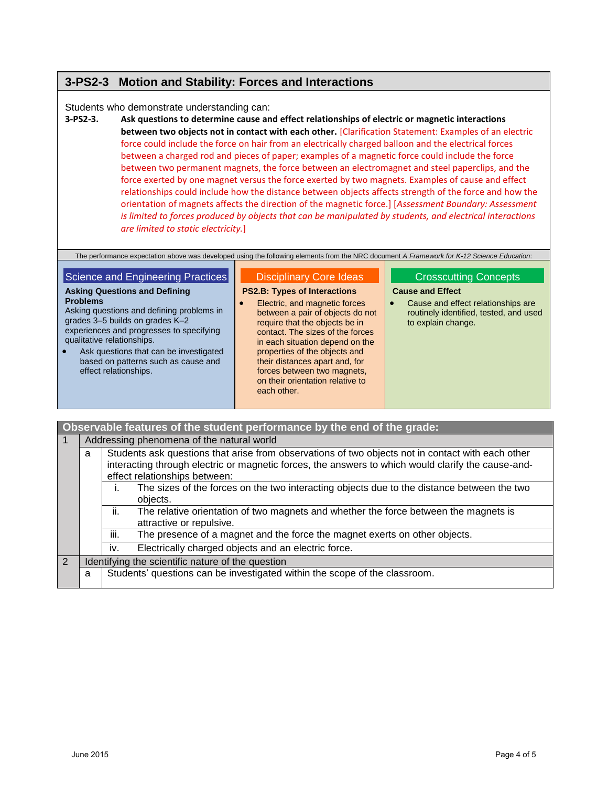## **3-PS2-3 Motion and Stability: Forces and Interactions**

### Students who demonstrate understanding can:

**3-PS2-3. Ask questions to determine cause and effect relationships of electric or magnetic interactions between two objects not in contact with each other.** [Clarification Statement: Examples of an electric force could include the force on hair from an electrically charged balloon and the electrical forces between a charged rod and pieces of paper; examples of a magnetic force could include the force between two permanent magnets, the force between an electromagnet and steel paperclips, and the force exerted by one magnet versus the force exerted by two magnets. Examples of cause and effect relationships could include how the distance between objects affects strength of the force and how the orientation of magnets affects the direction of the magnetic force.] [*Assessment Boundary: Assessment is limited to forces produced by objects that can be manipulated by students, and electrical interactions are limited to static electricity.*]

|  | The performance expectation above was developed using the following elements from the NRC document A Framework for K-12 Science Education: |  |  |  |  |
|--|--------------------------------------------------------------------------------------------------------------------------------------------|--|--|--|--|
|  |                                                                                                                                            |  |  |  |  |

| Science and Engineering Practices                                                                                                                                                                                                                                                                                                        | <b>Disciplinary Core Ideas</b>                                                                                                                                                                                                                                                                                                                                         | <b>Crosscutting Concepts</b>                                                                                                               |
|------------------------------------------------------------------------------------------------------------------------------------------------------------------------------------------------------------------------------------------------------------------------------------------------------------------------------------------|------------------------------------------------------------------------------------------------------------------------------------------------------------------------------------------------------------------------------------------------------------------------------------------------------------------------------------------------------------------------|--------------------------------------------------------------------------------------------------------------------------------------------|
| <b>Asking Questions and Defining</b><br><b>Problems</b><br>Asking questions and defining problems in<br>grades 3-5 builds on grades K-2<br>experiences and progresses to specifying<br>qualitative relationships.<br>Ask questions that can be investigated<br>$\bullet$<br>based on patterns such as cause and<br>effect relationships. | <b>PS2.B: Types of Interactions</b><br>Electric, and magnetic forces<br>between a pair of objects do not<br>require that the objects be in<br>contact. The sizes of the forces<br>in each situation depend on the<br>properties of the objects and<br>their distances apart and, for<br>forces between two magnets,<br>on their orientation relative to<br>each other. | <b>Cause and Effect</b><br>Cause and effect relationships are<br>$\bullet$<br>routinely identified, tested, and used<br>to explain change. |

|   | Observable features of the student performance by the end of the grade: |                                                                                                                                                                                                                                          |  |  |  |  |  |
|---|-------------------------------------------------------------------------|------------------------------------------------------------------------------------------------------------------------------------------------------------------------------------------------------------------------------------------|--|--|--|--|--|
|   | Addressing phenomena of the natural world                               |                                                                                                                                                                                                                                          |  |  |  |  |  |
|   | a                                                                       | Students ask questions that arise from observations of two objects not in contact with each other<br>interacting through electric or magnetic forces, the answers to which would clarify the cause-and-<br>effect relationships between: |  |  |  |  |  |
|   |                                                                         | The sizes of the forces on the two interacting objects due to the distance between the two<br>objects.                                                                                                                                   |  |  |  |  |  |
|   |                                                                         | The relative orientation of two magnets and whether the force between the magnets is<br>ii.<br>attractive or repulsive.                                                                                                                  |  |  |  |  |  |
|   |                                                                         | The presence of a magnet and the force the magnet exerts on other objects.<br>Ш.                                                                                                                                                         |  |  |  |  |  |
|   |                                                                         | Electrically charged objects and an electric force.<br>İV.                                                                                                                                                                               |  |  |  |  |  |
| 2 |                                                                         | Identifying the scientific nature of the question                                                                                                                                                                                        |  |  |  |  |  |
|   | a                                                                       | Students' questions can be investigated within the scope of the classroom.                                                                                                                                                               |  |  |  |  |  |